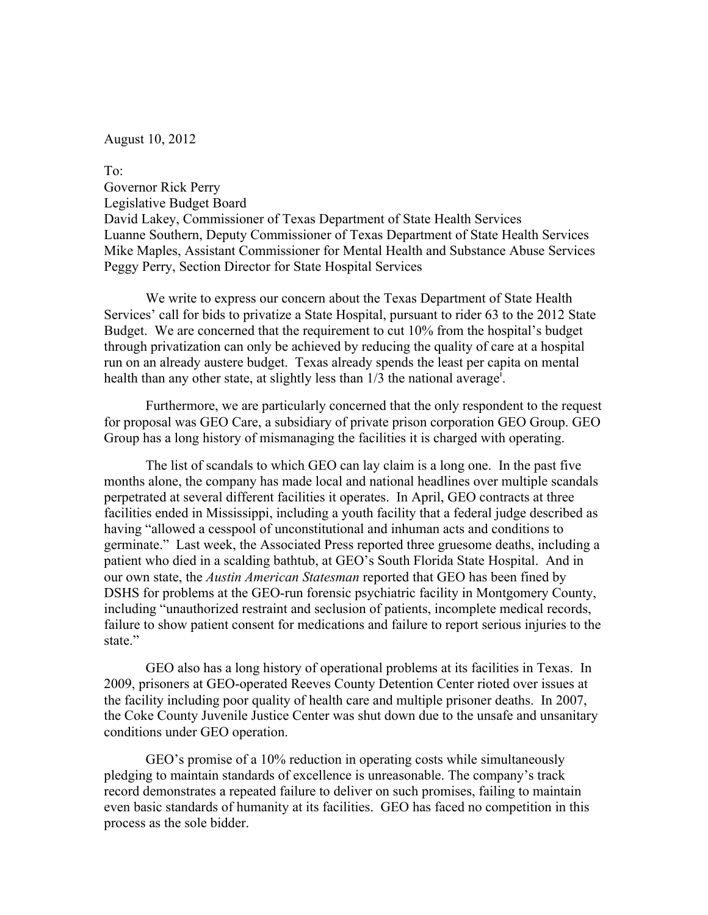August 10, 2012

To: Governor Rick Perry Legislative Budget Board David Lakey, Commissioner of Texas Department of State Health Services Luanne Southern, Deputy Commissioner of Texas Department of State Health Services Mike Maples, Assistant Commissioner for Mental Health and Substance Abuse Services Peggy Perry, Section Director for State Hospital Services

We write to express our concern about the Texas Department of State Health Services' call for bids to privatize a State Hospital, pursuant to rider 63 to the 2012 State Budget. We are concerned that the requirement to cut 10% from the hospital's budget through privatization can only be achieved by reducing the quality of care at a hospital run on an already austere budget. Texas already spends the least per capita on mental health than any other state, at slightly less than  $1/3$  the national average<sup>1</sup>.

Furthermore, we are particularly concerned that the only respondent to the request for proposal was GEO Care, a subsidiary of private prison corporation GEO Group. GEO Group has a long history of mismanaging the facilities it is charged with operating.

The list of scandals to which GEO can lay claim is a long one. In the past five months alone, the company has made local and national headlines over multiple scandals perpetrated at several different facilities it operates. In April, GEO contracts at three facilities ended in Mississippi, including a youth facility that a federal judge described as having "allowed a cesspool of unconstitutional and inhuman acts and conditions to germinate." Last week, the Associated Press reported three gruesome deaths, including a patient who died in a scalding bathtub, at GEO's South Florida State Hospital. And in our own state, the *Austin American Statesman* reported that GEO has been fined by DSHS for problems at the GEO-run forensic psychiatric facility in Montgomery County, including "unauthorized restraint and seclusion of patients, incomplete medical records, failure to show patient consent for medications and failure to report serious injuries to the state."

GEO also has a long history of operational problems at its facilities in Texas. In 2009, prisoners at GEO-operated Reeves County Detention Center rioted over issues at the facility including poor quality of health care and multiple prisoner deaths. In 2007, the Coke County Juvenile Justice Center was shut down due to the unsafe and unsanitary conditions under GEO operation.

GEO's promise of a 10% reduction in operating costs while simultaneously pledging to maintain standards of excellence is unreasonable. The company's track record demonstrates a repeated failure to deliver on such promises, failing to maintain even basic standards of humanity at its facilities. GEO has faced no competition in this process as the sole bidder.